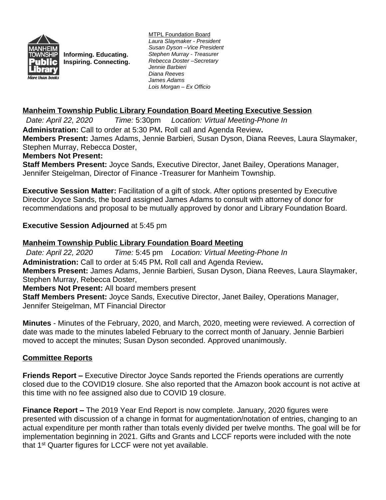

**Informing. Educating. Inspiring. Connecting.** MTPL Foundation Board *Laura Slaymaker - President Susan Dyson –Vice President Stephen Murray - Treasurer Rebecca Doster –Secretary Jennie Barbieri Diana Reeves James Adams Lois Morgan – Ex Officio*

# **Manheim Township Public Library Foundation Board Meeting Executive Session**

*Date: April 22, 2020 Time:* 5:30pm *Location: Virtual Meeting-Phone In* **Administration:** Call to order at 5:30 PM**.** Roll call and Agenda Review**. Members Present:** James Adams, Jennie Barbieri, Susan Dyson, Diana Reeves, Laura Slaymaker, Stephen Murray, Rebecca Doster,

#### **Members Not Present:**

**Staff Members Present:** Joyce Sands, Executive Director, Janet Bailey, Operations Manager, Jennifer Steigelman, Director of Finance -Treasurer for Manheim Township.

**Executive Session Matter:** Facilitation of a gift of stock. After options presented by Executive Director Joyce Sands, the board assigned James Adams to consult with attorney of donor for recommendations and proposal to be mutually approved by donor and Library Foundation Board.

### **Executive Session Adjourned** at 5:45 pm

### **Manheim Township Public Library Foundation Board Meeting**

*Date: April 22, 2020 Time:* 5:45 pm *Location: Virtual Meeting-Phone In* **Administration:** Call to order at 5:45 PM**.** Roll call and Agenda Review**. Members Present:** James Adams, Jennie Barbieri, Susan Dyson, Diana Reeves, Laura Slaymaker, Stephen Murray, Rebecca Doster, **Members Not Present:** All board members present **Staff Members Present:** Joyce Sands, Executive Director, Janet Bailey, Operations Manager,

Jennifer Steigelman, MT Financial Director

**Minutes** - Minutes of the February, 2020, and March, 2020, meeting were reviewed. A correction of date was made to the minutes labeled February to the correct month of January. Jennie Barbieri moved to accept the minutes; Susan Dyson seconded. Approved unanimously.

#### **Committee Reports**

**Friends Report –** Executive Director Joyce Sands reported the Friends operations are currently closed due to the COVID19 closure. She also reported that the Amazon book account is not active at this time with no fee assigned also due to COVID 19 closure.

**Finance Report –** The 2019 Year End Report is now complete. January, 2020 figures were presented with discussion of a change in format for augmentation/notation of entries, changing to an actual expenditure per month rather than totals evenly divided per twelve months. The goal will be for implementation beginning in 2021. Gifts and Grants and LCCF reports were included with the note that 1<sup>st</sup> Quarter figures for LCCF were not yet available.